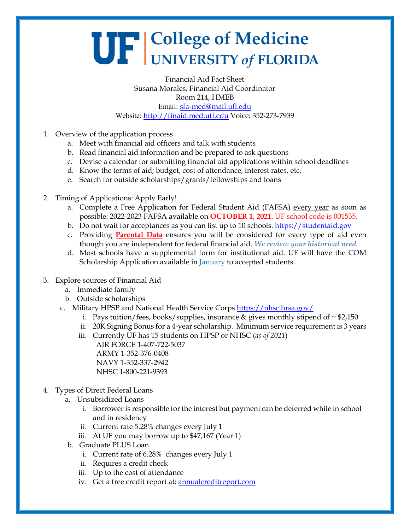## UF College of Medicine

Financial Aid Fact Sheet Susana Morales, Financial Aid Coordinator Room 214, HMEB Email: [sfa-med@mail.ufl.edu](mailto:sfa-med@mail.ufl.edu) Website: [http://finaid.med.ufl.edu](http://finaid.med.ufl.edu/) Voice: 352-273-7939

- 1. Overview of the application process
	- a. Meet with financial aid officers and talk with students
	- b. Read financial aid information and be prepared to ask questions
	- c. Devise a calendar for submitting financial aid applications within school deadlines
	- d. Know the terms of aid; budget, cost of attendance, interest rates, etc.
	- e. Search for outside scholarships/grants/fellowships and loans
- 2. Timing of Applications: Apply Early!
	- a. Complete a Free Application for Federal Student Aid (FAFSA) every year as soon as possible: 2022-2023 FAFSA available on **OCTOBER 1, 2021**. UF school code is 001535.
	- b. Do not wait for acceptances as you can list up to 10 schools. [https://studentaid.gov](https://studentaid.gov/)
	- c. Providing **Parental Data** ensures you will be considered for every type of aid even though you are independent for federal financial aid. *We review your historical need.*
	- d. Most schools have a supplemental form for institutional aid. UF will have the COM Scholarship Application available in January to accepted students.
- 3. Explore sources of Financial Aid
	- a. Immediate family
	- b. Outside scholarships
	- c. Military HPSP and National Health Service Corps <https://nhsc.hrsa.gov/>
		- i. Pays tuition/fees, books/supplies, insurance & gives monthly stipend of  $\sim$  \$2,150
		- ii. 20K Signing Bonus for a 4-year scholarship. Minimum service requirement is 3 years
		- iii. Currently UF has 15 students on HPSP or NHSC (*as of 2021*) AIR FORCE 1-407-722-5037 ARMY 1-352-376-0408 NAVY 1-352-337-2942 NHSC 1-800-221-9393
- 4. Types of Direct Federal Loans
	- a. Unsubsidized Loans
		- i. Borrower is responsible for the interest but payment can be deferred while in school and in residency
		- ii. Current rate 5.28% changes every July 1
		- iii. At UF you may borrow up to \$47,167 (Year 1)
	- b. Graduate PLUS Loan
		- i. Current rate of 6.28% changes every July 1
		- ii. Requires a credit check
		- iii. Up to the cost of attendance
		- iv. Get a free credit report at: **annualcreditreport.com**